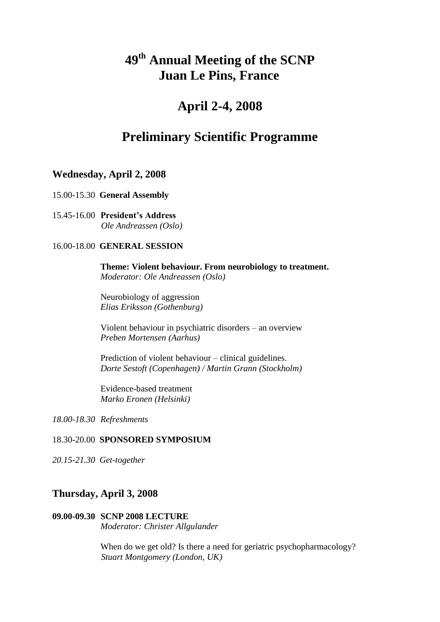# **49 th Annual Meeting of the SCNP Juan Le Pins, France**

## **April 2-4, 2008**

## **Preliminary Scientific Programme**

## **Wednesday, April 2, 2008**

15.00-15.30 **General Assembly**

15.45-16.00 **President's Address** *Ole Andreassen (Oslo)*

## 16.00-18.00 **GENERAL SESSION**

**Theme: Violent behaviour. From neurobiology to treatment.**  *Moderator: Ole Andreassen (Oslo)*

Neurobiology of aggression *Elias Eriksson (Gothenburg)*

Violent behaviour in psychiatric disorders – an overview *Preben Mortensen (Aarhus)*

Prediction of violent behaviour – clinical guidelines. *Dorte Sestoft (Copenhagen) / Martin Grann (Stockholm)*

Evidence-based treatment *Marko Eronen (Helsinki)*

*18.00-18.30 Refreshments*

#### 18.30-20.00 **SPONSORED SYMPOSIUM**

*20.15-21.30 Get-together* 

## **Thursday, April 3, 2008**

#### **09.00-09.30 SCNP 2008 LECTURE** *Moderator: Christer Allgulander*

When do we get old? Is there a need for geriatric psychopharmacology?  *Stuart Montgomery (London, UK)*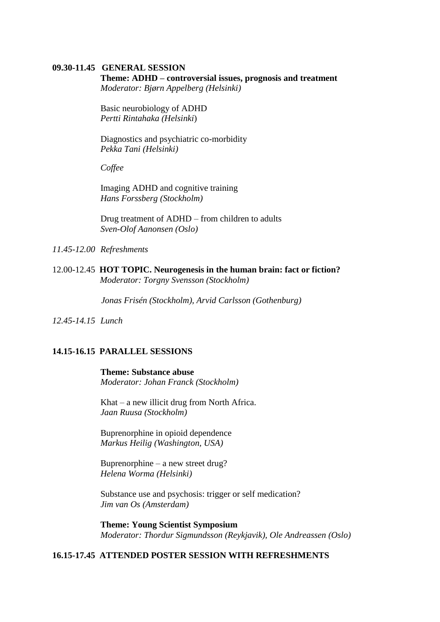#### **09.30-11.45 GENERAL SESSION**

#### **Theme: ADHD – controversial issues, prognosis and treatment**

*Moderator: Bjørn Appelberg (Helsinki)*

Basic neurobiology of ADHD *Pertti Rintahaka (Helsinki*)

Diagnostics and psychiatric co-morbidity *Pekka Tani (Helsinki)*

*Coffee*

Imaging ADHD and cognitive training *Hans Forssberg (Stockholm)*

Drug treatment of ADHD – from children to adults *Sven-Olof Aanonsen (Oslo)*

*11.45-12.00 Refreshments*

12.00-12.45 **HOT TOPIC. Neurogenesis in the human brain: fact or fiction?** *Moderator: Torgny Svensson (Stockholm)*

 *Jonas Frisén (Stockholm), Arvid Carlsson (Gothenburg)*

*12.45-14.15 Lunch*

#### **14.15-16.15 PARALLEL SESSIONS**

**Theme: Substance abuse**  *Moderator: Johan Franck (Stockholm)*

Khat – a new illicit drug from North Africa. *Jaan Ruusa (Stockholm)*

Buprenorphine in opioid dependence *Markus Heilig (Washington, USA)* 

Buprenorphine – a new street drug? *Helena Worma (Helsinki)*

Substance use and psychosis: trigger or self medication? *Jim van Os (Amsterdam)*

**Theme: Young Scientist Symposium** *Moderator: Thordur Sigmundsson (Reykjavik), Ole Andreassen (Oslo)*

## **16.15-17.45 ATTENDED POSTER SESSION WITH REFRESHMENTS**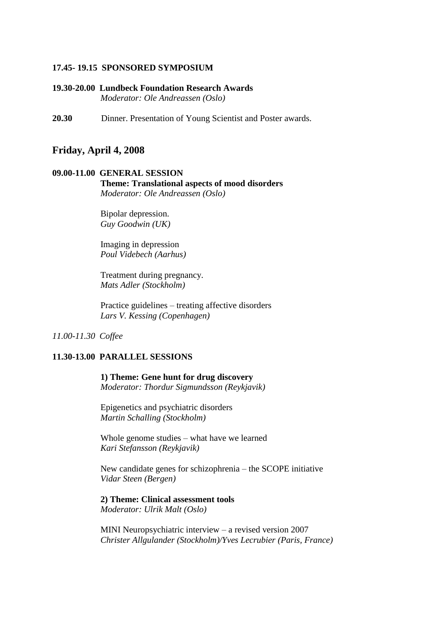#### **17.45- 19.15 SPONSORED SYMPOSIUM**

**19.30-20.00 Lundbeck Foundation Research Awards** *Moderator: Ole Andreassen (Oslo)*

**20.30** Dinner. Presentation of Young Scientist and Poster awards.

#### **Friday, April 4, 2008**

## **09.00-11.00 GENERAL SESSION Theme: Translational aspects of mood disorders**

*Moderator: Ole Andreassen (Oslo)*

Bipolar depression. *Guy Goodwin (UK)*

Imaging in depression *Poul Videbech (Aarhus)*

Treatment during pregnancy. *Mats Adler (Stockholm)*

Practice guidelines – treating affective disorders *Lars V. Kessing (Copenhagen)*

#### *11.00-11.30 Coffee*

#### **11.30-13.00 PARALLEL SESSIONS**

**1) Theme: Gene hunt for drug discovery**  *Moderator: Thordur Sigmundsson (Reykjavik)*

Epigenetics and psychiatric disorders *Martin Schalling (Stockholm)*

Whole genome studies – what have we learned *Kari Stefansson (Reykjavik)* 

New candidate genes for schizophrenia – the SCOPE initiative *Vidar Steen (Bergen)*

#### **2) Theme: Clinical assessment tools** *Moderator: Ulrik Malt (Oslo)*

MINI Neuropsychiatric interview – a revised version 2007 *Christer Allgulander (Stockholm)/Yves Lecrubier (Paris, France)*